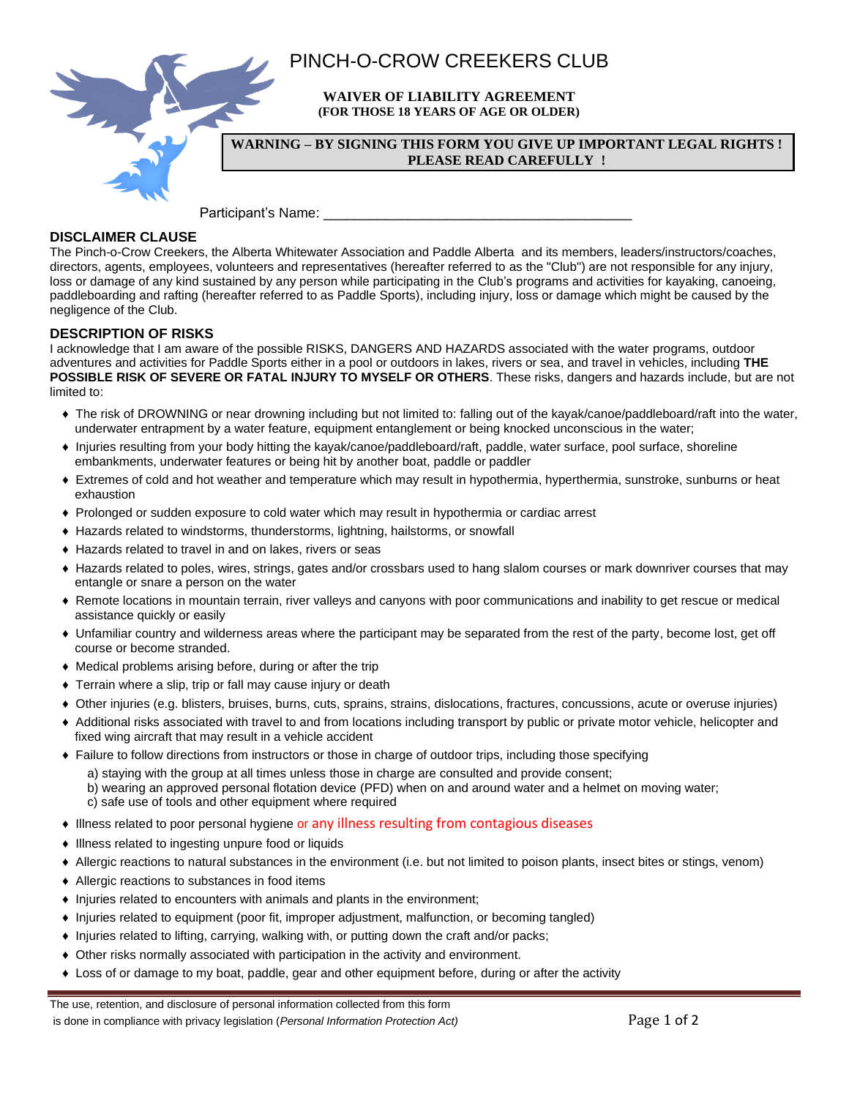

# **DISCLAIMER CLAUSE**

The Pinch-o-Crow Creekers, the Alberta Whitewater Association and Paddle Alberta and its members, leaders/instructors/coaches, directors, agents, employees, volunteers and representatives (hereafter referred to as the "Club") are not responsible for any injury, loss or damage of any kind sustained by any person while participating in the Club's programs and activities for kayaking, canoeing, paddleboarding and rafting (hereafter referred to as Paddle Sports), including injury, loss or damage which might be caused by the negligence of the Club.

# **DESCRIPTION OF RISKS**

I acknowledge that I am aware of the possible RISKS, DANGERS AND HAZARDS associated with the water programs, outdoor adventures and activities for Paddle Sports either in a pool or outdoors in lakes, rivers or sea, and travel in vehicles, including **THE POSSIBLE RISK OF SEVERE OR FATAL INJURY TO MYSELF OR OTHERS**. These risks, dangers and hazards include, but are not limited to:

- ♦ The risk of DROWNING or near drowning including but not limited to: falling out of the kayak/canoe/paddleboard/raft into the water, underwater entrapment by a water feature, equipment entanglement or being knocked unconscious in the water;
- ♦ Injuries resulting from your body hitting the kayak/canoe/paddleboard/raft, paddle, water surface, pool surface, shoreline embankments, underwater features or being hit by another boat, paddle or paddler
- ♦ Extremes of cold and hot weather and temperature which may result in hypothermia, hyperthermia, sunstroke, sunburns or heat exhaustion
- ♦ Prolonged or sudden exposure to cold water which may result in hypothermia or cardiac arrest
- ♦ Hazards related to windstorms, thunderstorms, lightning, hailstorms, or snowfall
- ♦ Hazards related to travel in and on lakes, rivers or seas
- ♦ Hazards related to poles, wires, strings, gates and/or crossbars used to hang slalom courses or mark downriver courses that may entangle or snare a person on the water
- ♦ Remote locations in mountain terrain, river valleys and canyons with poor communications and inability to get rescue or medical assistance quickly or easily
- ♦ Unfamiliar country and wilderness areas where the participant may be separated from the rest of the party, become lost, get off course or become stranded.
- ♦ Medical problems arising before, during or after the trip
- ♦ Terrain where a slip, trip or fall may cause injury or death
- ♦ Other injuries (e.g. blisters, bruises, burns, cuts, sprains, strains, dislocations, fractures, concussions, acute or overuse injuries)
- ♦ Additional risks associated with travel to and from locations including transport by public or private motor vehicle, helicopter and fixed wing aircraft that may result in a vehicle accident
- ♦ Failure to follow directions from instructors or those in charge of outdoor trips, including those specifying
	- a) staying with the group at all times unless those in charge are consulted and provide consent;

b) wearing an approved personal flotation device (PFD) when on and around water and a helmet on moving water; c) safe use of tools and other equipment where required

- ♦ Illness related to poor personal hygiene or any illness resulting from contagious diseases
- ♦ Illness related to ingesting unpure food or liquids
- ♦ Allergic reactions to natural substances in the environment (i.e. but not limited to poison plants, insect bites or stings, venom)
- ♦ Allergic reactions to substances in food items
- ♦ Injuries related to encounters with animals and plants in the environment;
- ♦ Injuries related to equipment (poor fit, improper adjustment, malfunction, or becoming tangled)
- ♦ Injuries related to lifting, carrying, walking with, or putting down the craft and/or packs;
- ♦ Other risks normally associated with participation in the activity and environment.
- ♦ Loss of or damage to my boat, paddle, gear and other equipment before, during or after the activity